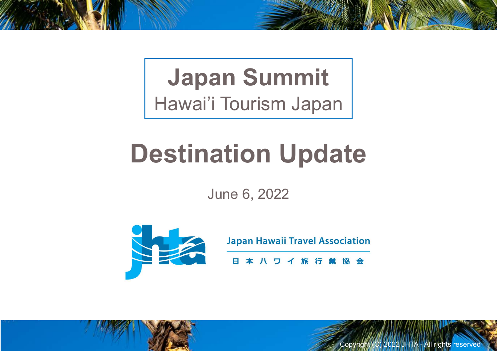## Japan Summit Hawai'i Tourism Japan

# Destination Update

June 6, 2022



 $\frac{a}{b}$ <br>Copyright (C) 2022 JHTA - All rights reserved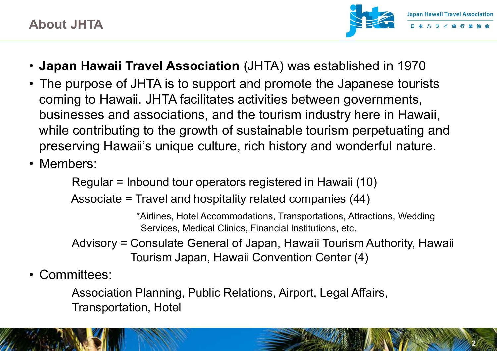$\mathcal{L}(\mathbb{Z})$ 

- Japan Hawaii Travel Association (JHTA) was established in 1970
- **About JHTA**<br>• **Japan Hawaii Travel Association** (JHTA) was established in 1970<br>• The purpose of JHTA is to support and promote the Japanese tourists<br>coming to Hawaii. JHTA facilitates activities between governments,<br>busin coming to Hawaii. JHTA facilitates activities between governments, businesses and associations, and the tourism industry here in Hawaii, while contributing to the growth of sustainable tourism perpetuating and preserving Hawaii's unique culture, rich history and wonderful nature. About JHTA<br>
• Japan Hawaii Travel Associatio<br>
• The purpose of JHTA is to suppor<br>
coming to Hawaii. JHTA facilitates<br>
businesses and associations, and<br>
while contributing to the growth of<br>
preserving Hawaii's unique cultur while contributing to the growth of<br>preserving Hawaii's unique culture<br>• Members:<br>Regular = Inbound tour operator<br>Associate = Travel and hospita<br>• Advisory = Consulate General<br>Tourism Japan, Hav<br>• Committees:<br>Association P
- 

Regular = Inbound tour operators registered in Hawaii (10)

Associate = Travel and hospitality related companies (44)

\*Airlines, Hotel Accommodations, Transportations, Attractions, Wedding Services, Medical Clinics, Financial Institutions, etc.

- Advisory = Consulate General of Japan, Hawaii Tourism Authority, Hawaii Tourism Japan, Hawaii Convention Center (4)
- 

Association Planning, Public Relations, Airport, Legal Affairs, Transportation, Hotel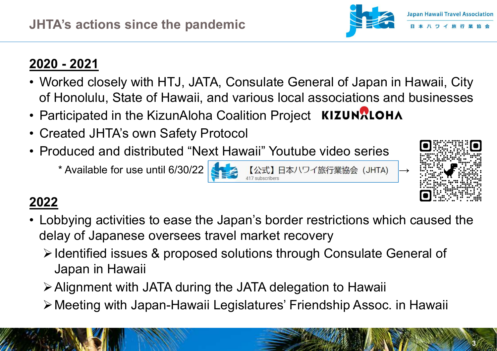- JHTA's actions since the pandemic<br>2020 2021<br>• Worked closely with HTJ, JATA, Consu<br>of Honolulu, State of Hawaii, and variou **PERTURE ISLANT ASSOCIATED ASSOCIATED ALSO AREA CONSUMING A SSOCIATION CONSUMING A SSOCIATION CONSUMING A SSOCIATION CONSUMING A SSOCIATION OF HONOLOGIC STATED OF HONOLOGIC STATED OF PARTICIPATED + PARTICIPATED + PARTICIPA** of Honolulu, State of Hawaii, and various local associations and businesses **Participated in the Farticipated in the KizunAloha Coalition Project KIZUNALOHA**<br>
• Worked closely with HTJ, JATA, Consulate General of Japan in F<br>
• Participated in the KizunAloha Coalition Project KIZUNALOHA<br>
• Created **JHTA's actions since the pandemic<br>
2020 - 2021**<br>
• Worked closely with HTJ, JATA, Consulate<br>
of Honolulu, State of Hawaii, and various lo<br>
• Participated in the KizunAloha Coalition Pro<br>
• Created JHTA's own Safety Protoc **1998 - 2020 - 2021**<br>
• Worked closely with HTJ, JATA, Consulate General of Japan in Hawaii, City<br>
• Worked closely with HTJ, JATA, Consulate General of Japan in Hawaii, City<br>
• Produced in the KizunAloha Coalition Projec
- 
- 
- 

\* Available for use until 6/30/22 →

## 2022

- Worked closely with HTJ, JATA, Consulate General of Japan in Hawaii, City<br>
 Worked closely with HTJ, JATA, Consulate General of Japan in Hawaii, City<br>
 Participated in the KizunAloha Coalition Project KIZUNRIOHA<br>
 Cre delay of Japanese oversees travel market recovery
	- ▶ Identified issues & proposed solutions through Consulate General of Japan in Hawaii
	- Alignment with JATA during the JATA delegation to Hawaii
	- Meeting with Japan-Hawaii Legislatures' Friendship Assoc. in Hawaii



 $\sim$  Strictly  $\sim$  3.0  $\sim$ 

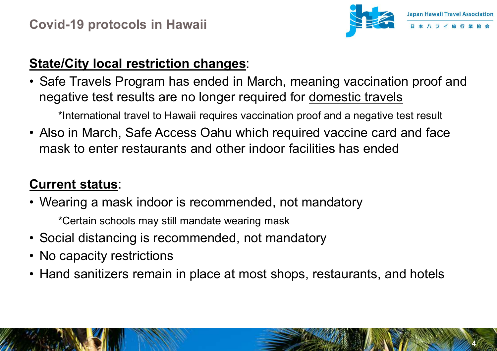

 $\mathcal{S}$  Strictly Confidential 4 (  $\mathcal{S}$ 

#### **State/City local restriction changes:**

Examples Travel Association<br>
State/City local restriction changes:<br>
• Safe Travels Program has ended in March, meaning vaccination proof and<br>
regative test results are no longer required for <u>domestic travels</u><br>
\*Internatio negative test results are no longer required for domestic travels **State/City local restriction changes:**<br>
• Safe Travels Program has ended in March, meaning vaccination proof and negative test results are no longer required for <u>domestic travels</u><br>
• National travel to Hawaii requires va State/City local restriction changes:<br>
• Safe Travels Program has ended in March, meaning vaccination proof a<br>
• est results are no longer required for <u>domestic travels</u><br>
• thermational travel to Hawaii requires vaccinati

\*International travel to Hawaii requires vaccination proof and a negative test result

mask to enter restaurants and other indoor facilities has ended megative test results are no longer required for <u>domestic travels</u><br>
\*International travel to Hawaii requires vaccination proof and a negative test<br>
• Also in March, Safe Access Oahu which required vaccine card and<br>
mask t \*International travel to Hawaii requires vacci<br>
• Also in March, Safe Access Oahu which<br>
mask to enter restaurants and other inc<br> **Current status:**<br>
• Wearing a mask indoor is recommende<br>
\*Certain schools may still mandate • Also in March, Safe Access Oahu which required vaccine card and face<br>mask to enter restaurants and other indoor facilities has ended<br>Current status:<br>• Wearing a mask indoor is recommended, not mandatory<br>• Social distanci

### Current status:

- \*Certain schools may still mandate wearing mask
- 
- 
-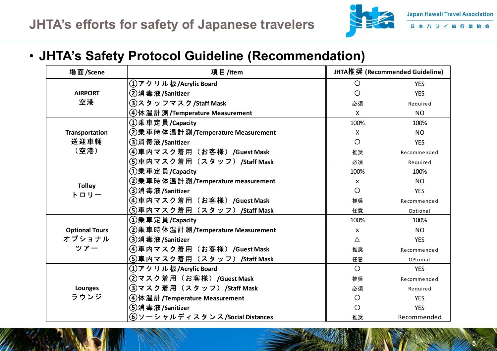

#### • JHTA's Safety Protocol Guideline (Recommendation)

|                        | TA's efforts for safety of Japanese travelers                      |                                |             |
|------------------------|--------------------------------------------------------------------|--------------------------------|-------------|
|                        |                                                                    |                                |             |
| 場面/Scene               | <b>HTA's Safety Protocol Guideline (Recommendation)</b><br>項目/item | JHTA推奨 (Recommended Guideline) |             |
|                        | ①アクリル板/Acrylic Board                                               | $\circ$                        | <b>YES</b>  |
| <b>AIRPORT</b><br>空港   | ②消毒液/Sanitizer                                                     | $\circ$                        | <b>YES</b>  |
|                        | ③スタッフマスク/Staff Mask                                                | 必須                             | Required    |
|                        | 4 体温計測/Temperature Measurement                                     | X                              | <b>NO</b>   |
|                        | ①乗車定員/Capacity                                                     | 100%                           | 100%        |
| Transportation         | ②乗車時体温計測/Temperature Measurement                                   | X                              | NO.         |
| 送迎車輛<br>(空港)           | ③消毒液/Sanitizer                                                     | $\circ$                        | <b>YES</b>  |
|                        | (4)車内マスク着用(お客様)/Guest Mask                                         | 推奨                             | Recommended |
|                        | (5)車内マスク着用(スタッフ)/Staff Mask                                        | 必須                             | Required    |
| <b>Tolley</b><br>トロリー  | ①乗車定員/Capacity                                                     | 100%                           | 100%        |
|                        | ②乗車時体温計測/Temperature measurement                                   | $\boldsymbol{\mathsf{x}}$      | NO.         |
|                        | ③消毒液/Sanitizer                                                     | $\circ$                        | <b>YES</b>  |
|                        | ④車内マスク着用(お客様)/Guest Mask                                           | 推奨                             | Recommended |
|                        | ⑤車内マスク着用(スタッフ)/Staff Mask                                          | 任意                             | Optional    |
|                        | ①乗車定員/Capacity                                                     | 100%                           | 100%        |
| <b>Optional Tours</b>  | ②乗車時体温計測/Temperature Measurement                                   | $\boldsymbol{\mathsf{x}}$      | <b>NO</b>   |
| オプショナル                 | ③消毒液/Sanitizer                                                     | Δ                              | YES         |
| ツアー                    | (4)車内マスク着用 (お客様) /Guest Mask                                       | 推奨                             | Recommended |
|                        | ⑤車内マスク着用(スタッフ)/Staff Mask                                          | 任意                             | OPtional    |
| <b>Lounges</b><br>ラウンジ | ①アクリル板/Acrylic Board                                               | $\circ$                        | <b>YES</b>  |
|                        | ②マスク着用(お客様)/Guest Mask                                             | 推奨                             | Recommended |
|                        | ③マスク着用 (スタッフ) /Staff Mask                                          | 必須                             | Required    |
|                        | ④体温計/Temperature Measurement                                       | $\circ$                        | <b>YES</b>  |
|                        | (5)消毒液/Sanitizer                                                   | $\circ$                        | <b>YES</b>  |
|                        | ⑥ソーシャルディスタンス/Social Distances                                      | 推奨                             | Recommended |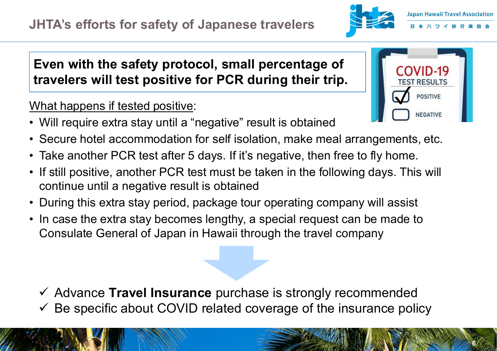

 $\sim$  Strictly Confidential 6 (  $\sim$ 

# Even with the safety protocol, small percentage of travelers will test positive for PCR during their trip. **FREE STATES (FREE STATES )<br>
From with the safety protocol, small percentage of<br>
travelers will test positive for PCR during their trip.<br>
What happens if tested positive:<br>
• Will require extra stay until a "negative" resul Figure 1999**<br> **Figure 1999**<br> **Even with the safety protocol, small percentage of<br>
travelers will test positive for PCR during their trip.<br>
What happens if tested positive:<br>
• Will require extra stay until a "negative" res**

#### What happens if tested positive:



- 
- 
- **Figure 11 and 11 and 11 and 11 and 11 and 11 and 11 another PCR during their trip.**<br> **Even with the safety protocol, small percentage of**<br> **Even with the safety protocol, small percentage of**<br> **EVALUATE AND TO THE SURFAR HTA's efforts for safety of Japanese travelers**<br> **Even with the safety protocol, small percentage of**<br> **travelers will test positive for PCR during their trip.**<br>
What happens if tested positive:<br>
• Will require extra sta continue until a negative result is obtained **Even with the safety protocol, small percentage of travelers will test positive for PCR during their trip.**<br>
What happens if tested positive:<br>
• Will require extra stay until a "negative" result is obtained<br>
• Secure hot • In case the extra stay privide to provide the extra stay until the extra stay until a "negative" result is obtained<br>
• Secure hotel accommodation for self isolation, make meal arrangements, etc.<br>
• Take another PCR test
- 
- Consulate General of Japan in Hawaii through the travel company

 $\checkmark$  Advance Travel Insurance purchase is strongly recommended Be specific about COVID related coverage of the insurance policy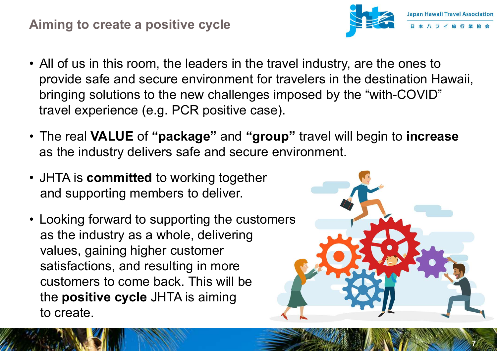- Aiming to create a positive cycle<br>
 All of us in this room, the leaders in the travel industry, are the ones to<br>
provide safe and secure environment for travelers in the destination Hawaii,<br>
bringing solutions to the new provide safe and secure environment for travelers in the destination Hawaii, bringing solutions to the new challenges imposed by the "with-COVID" travel experience (e.g. PCR positive case). Alming to create a positive cycle<br>
• All of us in this room, the leaders in the travel industry, are the ones to<br>
provide safe and secure environment for travelers in the destination Hawaii,<br>
bringing solutions to the new • All of us in this room, the leaders in the travel indu<br>provide safe and secure environment for travelers<br>bringing solutions to the new challenges imposed<br>travel experience (e.g. PCR positive case).<br>• The real **VALUE** of • Looking forward to supporting the customers<br>
and secure environment for travelers in the bringing solutions to the new challenges imposed by the travel experience (e.g. PCR positive case).<br>
• The real **VALUE** of "**packag**
- as the industry delivers safe and secure environment.
- and supporting members to deliver.
- as the industry as a whole, delivering values, gaining higher customer satisfactions, and resulting in more customers to come back. This will be the positive cycle JHTA is aiming to create.



Strictly Confidential 7